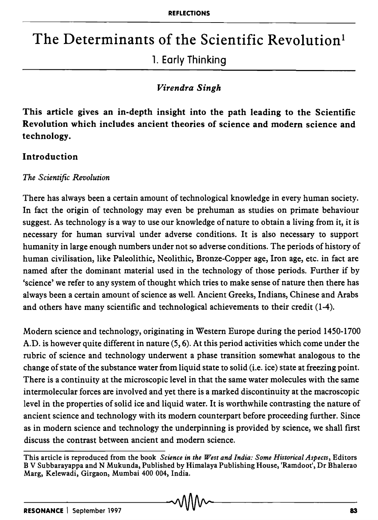# The Determinants of the Scientific Revolution<sup>1</sup>

## 1. Early Thinking

### *Virendra Singh*

This article gives an in-depth insight into the path leading to the Scientific Revolution which includes ancient theories of science and modern science and technology.

### Introduction

### *The Scientific Revolution*

There has always been a certain amount of technological knowledge in every human society. In fact the origin of technology may even be prehuman as studies on primate behaviour suggest. As technology is a way to use our knowledge of nature to obtain a living from it, it is necessary for human survival under adverse conditions. It is also necessary to support humanity in large enough numbers under not so adverse conditions. The periods of history of human civilisation, like Paleolithic, Neolithic, Bronze-Copper age, Iron age, etc. in fact are named after the dominant material used in the technology of those periods. Further if by 'science' we refer to any system of thought which tries to make sense of nature then there has always been a certain amount of science as well. Ancient Greeks, Indians, Chinese and Arabs and others have many scientific and technological achievements to their credit (1-4).

Modern science and technology, originating in Western Europe during the period 1450-1700 A.D. is however quite different in nature (5, 6). At this period activities which come under the rubric of science and technology underwent a phase transition somewhat analogous to the change of state of the substance water from liquid state to solid (i.e. ice) state at freezing point. There is a continuity at the microscopic level in that the same water molecules with the same intermolecular forces are involved and yet there is a marked discontinuity at the macroscopic level in the properties of solid ice and liquid water. It is worthwhile contrasting the nature of ancient science and technology with its modern counterpart before proceeding further. Since as in modern science and technology the underpinning is provided by science, we shall first discuss the contrast between ancient and modern science.

This article is reproduced from the book *Science in the West and India: Some Historical Aspects,* Editors B V Subbarayappa and N Mukunda, Published by Himalaya Publishing House, 'Ramdoot', Dr Bhalerao Marg, Kelewadi, Girgaon, Mumbai 400 004, India.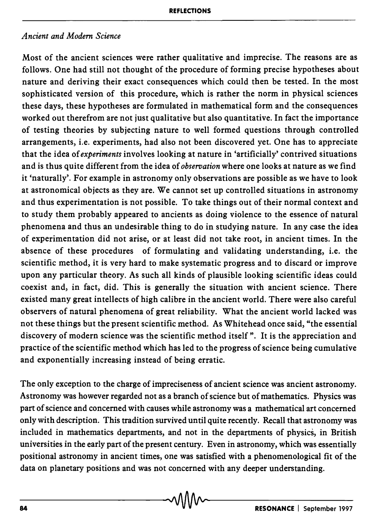### *Ancient and Modem Science*

Most of the ancient sciences were rather qualitative and imprecise. The reasons are as follows. One had still not thought of the procedure of forming precise hypotheses about nature and deriving their exact consequences which could then be tested. In the most sophisticated version of this procedure, which is rather the norm in physical sciences these days, these hypotheses are formulated in mathematical form and the consequences worked out therefrom are not just qualitative but also quantitative. In fact the importance of testing theories by subjecting nature to well formed questions through controlled arrangements, i.e. experiments, had also not been discovered yet. One has to appreciate that the idea of *experiments* involves looking at nature in 'artificially' contrived situations and is thus quite different from the idea of *observation* where one looks at nature as we find it 'naturally'. For example in astronomy only observations are possible as we have to look at astronomical objects as they are. We cannot set up controlled situations in astronomy and thus experimentation is not possible. To take things out of their normal context and to study them probably appeared to ancients as doing violence to the essence of natural phenomena and thus an undesirable thing to do in studying nature. In any case the idea of experimentation did not arise, or at least did not take root, in ancient times. In the absence of these procedures of formulating and validating understanding, i.e. the scientific method, it is very hard to make systematic progress and to discard or improve upon any particular theory. As such all kinds of plausible looking scientific ideas could coexist and, in fact, did. This is generally the situation with ancient science. There existed many great intellects of high calibre in the ancient world. There were also careful observers of natural phenomena of great reliability. What the ancient world lacked was not these things but the present scientific method. As Whitehead once said, "the essential discovery of modern science was the scientific method itself» . It is the appreciation and practice of the scientific method which has led to the progress of science being cumulative and exponentially increasing instead of being erratic.

The only exception to the charge of impreciseness of ancient science was ancient astronomy. Astronomy was however regarded not as a branch of science but of mathematics. Physics was part of science and concerned with causes while astronomy was a mathematical art concerned only with description. This tradition survived until quite recently. Recall that astronomy was included in mathematics departments, and not in the departments of physics, in British universities in the early part of the present century. Even in astronomy, which was essentially positional astronomy in ancient times, one was satisfied with a phenomenological fit of the data on planetary positions and was not concerned with any deeper understanding.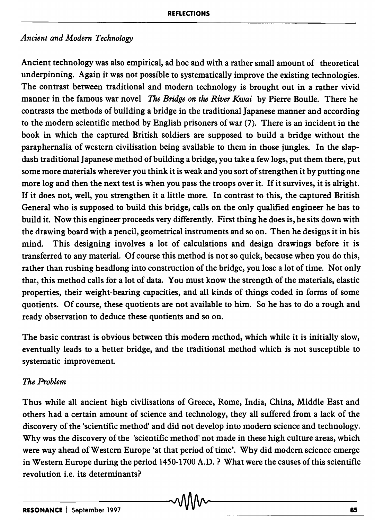### *Ancient and Modem Technology*

Ancient technology was also empirical, ad hoc and with a rather small amount of theoretical underpinning. Again it was not possible to systematically improve the existing technologies. The contrast between traditional and modern technology is brought out in a rather vivid manner in the famous war novel *The Bridge on the River Kwai* by Pierre Boulle. There he contrasts the methods of building a bridge in the traditional Japanese manner and according to the modem scientific method by English prisoners of war (7). There is an incident in the book in which the captured British soldiers are supposed to build a bridge without the paraphernalia of western civilisation being available to them in those jungles. In the slapdash traditional Japanese method of building a bridge, you take a few logs, put them there, put some more materials wherever you think it is weak and you sort of strengthen it by putting one more log and then the next test is when you pass the troops over it. If it survives, it is alright. If it does not, well, you strengthen it a little more. In contrast to this, the captured British General who is supposed to build this bridge, calls on the only qualified engineer he has to build it. Now this engineer proceeds very differently. First thing he does is, he sits down with the drawing board with a pencil, geometrical instruments and so on. Then he designs it in his mind. This designing involves a lot of calculations and design drawings before it is transferred to any material. Of course this method is not so quick, because when you do this, rather than rushing headlong into construction of the bridge, you lose a lot of time. Not only that, this method calls for a lot of data. You must know the strength of the materials, elastic properties, their weight-bearing capacities, and all kinds of things coded in forms of some quotients. Of course, these quotients are not available to him. So he has to do a rough and ready observation to deduce these quotients and so on.

The basic contrast is obvious between this modern method, which while it is initially slow, eventually leads to a better bridge, and the traditional method which is not susceptible to systematic improvement.

### *The Problem*

Thus while all ancient high civilisations of Greece, Rome, India, China, Middle East and others had a certain amount of science and technology, they all suffered from a lack of the discovery of the 'scientific method' and did not develop into modern science and technology. Why was the discovery of the 'scientific method' not made in these high culture areas, which were way ahead of Western Europe 'at that period of time'. Why did modern science emerge in Western Europe during the period 1450-1700 A.D. ? What were the causes of this scientific revolution i.e. its determinants?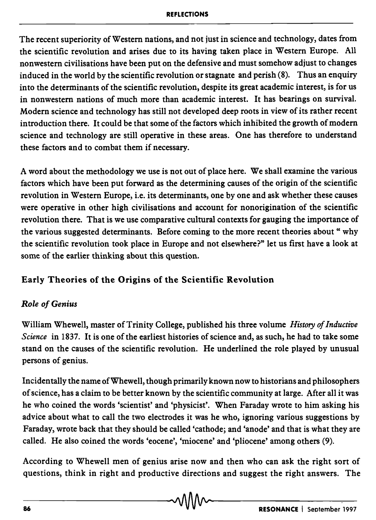#### REFLECTIONS

The recent superiority of Western nations, and not just in science and technology, dates from the scientific revolution and arises due to its having taken place in Western Europe. All nonwestern civilisations have been put on the defensive and must somehow adjust to changes induced in the world by the scientific revolution or stagnate and perish  $(8)$ . Thus an enquiry into the determinants of the scientific revolution, despite its great academic interest, is for us in nonwestern nations of much more than academic interest. It has bearings on survival. Modern science and technology has still not developed deep roots in view of its rather recent introduction there. It could be that some of the factors which inhibited the growth of modern science and technology are still operative in these areas. One has therefore to understand these factors and to combat them if necessary.

A word about the methodology we use is not out of place here. We shall examine the various factors which have been put forward as the determining causes of the origin of the scientific revolution in Western Europe, i.e. its determinants, one by one and ask whether these causes were operative in other high civilisations and account for nonorigination of the scientific revolution there. That is we use comparative cultural contexts for gauging the importance of the various suggested determinants. Before coming to the more recent theories about" why the scientific revolution took place in Europe and not elsewhere?" let us first have a look at some of the earlier thinking about this question.

### Early Theories of the Origins of the Scientific Revolution

### *Role of Genius*

William Whewell, master of Trinity College, published his three volume *History of Inductive Science* in 1837. It is one of the earliest histories of science and, as such, he had to take some stand on the causes of the scientific revolution. He underlined the role played by unusual persons of genius.

Inciden tally the name of Whew ell, though primarily known now to historians and philosophers of science, has a claim to be better known by the scientific community at large. After all it was he who coined the words 'scientist' and 'physicist'. When Faraday wrote to him asking his advice about what to call the two electrodes it was he who, ignoring various suggestions by Faraday, wrote back that they should be called 'cathode; and 'anode' and that is what they are called. He also coined the words 'eocene', 'miocene' and 'pliocene' among others (9).

According to Whewell men of genius arise now and then who can ask the right sort of questions, think in right and productive directions and suggest the right answers. The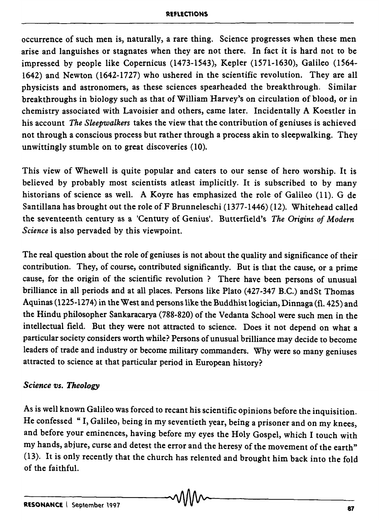#### **R£fl£Cl'ONS**

occurrence of such men is, naturally, a rare thing. Science progresses when these men arise and languishes or stagnates when they are not there. In fact it is hard not to be impressed by people like Copernicus (1473-1543), Kepler (1571-1630), Galileo (1564- 1642) and Newton (1642-1727) who ushered in the scientific revolution. They are all physicists and astronomers, as these sciences spearheaded the breakthrough. Similar breakthroughs in biology such as that of William Harvey's on circulation of blood, or in chemistry associated with Lavoisier and others, came later. Incidentally A Koestler in his account *The Sleepwalkers* takes the view that the contribution of geniuses is achieved not through a conscious process but rather through a process akin to sleepwalking. They unwittingly stumble on to great discoveries (10).

This view of Whewell is quite popular and caters to our sense of hero worship. It is believed by probably most scientists atleast implicitly. It is subscribed to by many historians of science as well. A Koyre has emphasized the role of Galileo (11). G de Santillana has brought out the role of F Brunneleschi (1377-1446) (12). Whitehead called the seventeenth century as a 'Century of Genius'. Butterfield's *The Origins of Modern Science* is also pervaded by this viewpoint.

The real question about the role of geniuses is not about the quality and significance of their contribution. They, of course, contributed significantly. But is that the cause, or a prime cause, for the origin of the scientific revolution? There have been persons of unusual brilliance in all periods and at all places. Persons like Plato (427-347 B.C.) andSt Thomas Aquinas (1225-1274) in the West and persons like the Buddhist logician, Dinnaga (fl. 425) and the Hindu philosopher Sankaracarya (788-820) of the Vedanta School were such men in the intellectual field. But they were not attracted to science. Does it not depend on what a particular society considers worth while? Persons of unusual brilliance may decide to become leaders of trade and industry or become military commanders. Why were so many geniuses attracted to science at that particular period in European history?

### **Science vs. Theology**

As is well known Galileo was forced to recant his scientific opinions before the inquisition. He confessed "I, Galileo, being in my seventieth year, being a prisoner and on my knees, and before your eminences, having before my eyes the Holy Gospel, which I touch with my hands, abjure, curse and detest the error and the heresy of the movement of the earth" (13). It is only recently that the church has relented and brought him back into the fold of the faithful.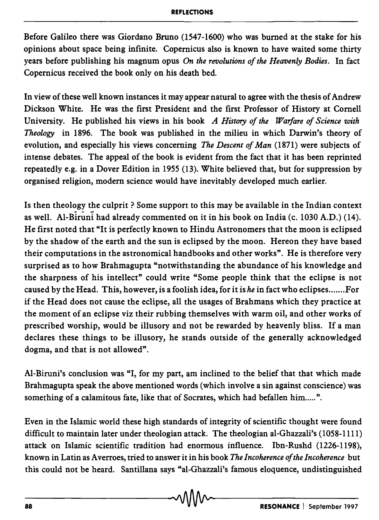Before Galileo there was Giordano Bruno (1547-1600) who was burned at the stake for his opinions about space being infinite. Copernicus also is known to have waited some thirty years before publishing his magnum opus *On the revolutions of the Heavenly Bodies.* In fact Copernicus received the book only on his death bed.

In view of these well known instances it may appear natural to agree with the thesis of Andrew Dickson White. He was the first President and the first Professor of History at Cornell University. He published his views in his book *A History of the Warfare of Science with Theology* in 1896. The book was published in the milieu in which Darwin's theory of evolution, and especially his views concerning *The Descent of Man* (1871) were subjects of intense debates. The appeal of the book is evident from the fact that it has been reprinted repeatedly e.g. in a Dover Edition in 1955 (13). White believed that, but for suppression by organised religion, modern science would have inevitably developed much earlier.

Is then theology the culprit? Some support to this may be available in the Indian context as well. Al-Biruni had already commented on it in his book on India (c. 1030 A.D.) (14). He first noted that "It is perfectly known to Hindu Astronomers that the moon is eclipsed by the shadow of the earth and the sun is eclipsed by the moon. Hereon they have based their computations in the astronomical handbooks and other works". He is therefore very surprised as to how Brahmagupta "notwithstanding the abundance of his knowledge and the sharpness of his intellect" could write "Some people think that the eclipse is not caused by the Head. This, however, is a foolish idea, for it *ishe* in fact who ec1ipses ....... For if the Head does not cause the eclipse, all the usages of Brahmans which they practice at the moment of an eclipse viz their rubbing themselves with warm oil, and other works of prescribed worship, would be illusory and not be rewarded by heavenly bliss. If a man declares these things to be illusory, he stands outside of the generally acknowledged dogma, and that is not allowed".

AI-Biruni's conclusion was "I, for my part, am inclined to the belief that that which made Brahmagupta speak the above mentioned words (which involve a sin against conscience) was something of a calamitous fate, like that of Socrates, which had befallen him.....".

Even in the Islamic world these high standards of integrity of scientific thought were found difficult to maintain later under theologian attack. The theologian al-Ghazzali's (1058-1111) attack on Islamic scientific tradition had enormous influence. Ibn-Rushd (1226-1198), known in Latin as Averroes, tried to answer it in his book *The Incoherence of the Incoherence* but this could not be heard. Santillana says "al-Ghazzali's famous eloquence, undistinguished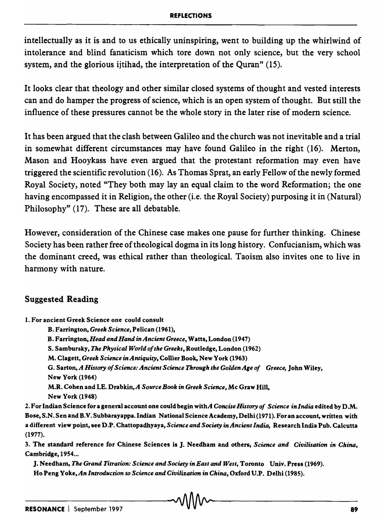intellectually as it is and to us ethically uninspiring, went to building up the whirlwind of intolerance and blind fanaticism which tore down not only science, but the very school system, and the glorious ijtihad, the interpretation of the Quran" (15).

It looks clear that theology and other similar closed systems of thought and vested interests can and do hamper the progress of science, which is an open system of thought. But still the influence of these pressures cannot be the whole story in the later rise of modem science.

It has been argued that the clash between Galileo and the church was not inevitable and a trial in somewhat different circumstances may have found Galileo in the right (16). Merton, Mason and Hooykass have even argued that the protestant reformation may even have triggered the scientific revolution (16). As Thomas Sprat, an early Fellow of the newly formed Royal Society, noted "They both may lay an equal claim to the word Reformation; the one having encompassed it in Religion, the other (i.e. the Royal Society) purposing it in (Natural) Philosophy" (17). These are all debatable.

However, consideration of the Chinese case makes one pause for further thinking. Chinese Society has been rather free of theological dogma in its long history. Confucianism, which was the dominant creed, was ethical rather than theological. Taoism also invites one to live in harmony with nature.

### Suggested Reading

- 1. For ancient Greek Science one could consult
	- B. Farrington, *Greek Science*, Pelican (1961),
	- B. Farrington, *Head and Hand in Ancient Greece,* Watts, London (1947)
	- S. Sambursky, *The Physical World of the Greeks*, Routledge, London (1962)
	- M. Clagett, *Greek Science in Antiquity,* Collier Book, New York (1963)

G. Sarton, A History of Science: Ancient Science Through the Golden Age of Greece, John Wiley, New York (1964)

M.R. Cohen and I.E. Drabki~A *Source Book in Greek Science,* Mc Graw Hill,

New York (1948)

2. For Indian Science for a general account one could begin withA *Concise History of Science in India* edited by D .M. Bose, S.N. Sen and B. V. Subbarayappa. Indian National Science Academy, Delhi (1971). For an account, written with a different view point, see D.P. Chattopadhyaya, *Science and Society in Ancient India,* Research India Pub. Calcutta (1977).

3. The standard reference for Chinese Sciences is J. Needham and others, *Science and Civilisation in China,*  Cambridge, 1954...

J. Needham, *The Grand Titration: Science and Society in East and West,* Toronto Vniv. Press (1969). Ho Peng Yoke, *An Introduction to Science and Civilization in China,* Oxford V.P. Delhi (1985).